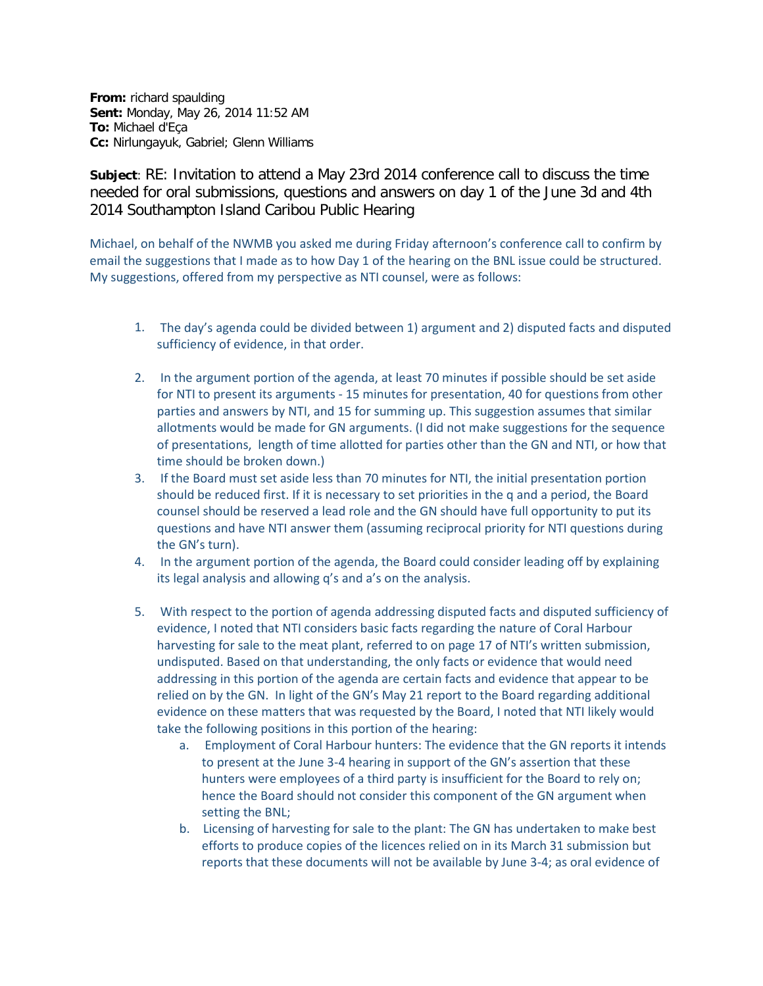**From:** richard spaulding **Sent:** Monday, May 26, 2014 11:52 AM **To:** Michael d'Eça **Cc:** Nirlungayuk, Gabriel; Glenn Williams

**Subject**: RE: Invitation to attend a May 23rd 2014 conference call to discuss the time needed for oral submissions, questions and answers on day 1 of the June 3d and 4th 2014 Southampton Island Caribou Public Hearing

Michael, on behalf of the NWMB you asked me during Friday afternoon's conference call to confirm by email the suggestions that I made as to how Day 1 of the hearing on the BNL issue could be structured. My suggestions, offered from my perspective as NTI counsel, were as follows:

- 1. The day's agenda could be divided between 1) argument and 2) disputed facts and disputed sufficiency of evidence, in that order.
- 2. In the argument portion of the agenda, at least 70 minutes if possible should be set aside for NTI to present its arguments - 15 minutes for presentation, 40 for questions from other parties and answers by NTI, and 15 for summing up. This suggestion assumes that similar allotments would be made for GN arguments. (I did not make suggestions for the sequence of presentations, length of time allotted for parties other than the GN and NTI, or how that time should be broken down.)
- 3. If the Board must set aside less than 70 minutes for NTI, the initial presentation portion should be reduced first. If it is necessary to set priorities in the q and a period, the Board counsel should be reserved a lead role and the GN should have full opportunity to put its questions and have NTI answer them (assuming reciprocal priority for NTI questions during the GN's turn).
- 4. In the argument portion of the agenda, the Board could consider leading off by explaining its legal analysis and allowing q's and a's on the analysis.
- 5. With respect to the portion of agenda addressing disputed facts and disputed sufficiency of evidence, I noted that NTI considers basic facts regarding the nature of Coral Harbour harvesting for sale to the meat plant, referred to on page 17 of NTI's written submission, undisputed. Based on that understanding, the only facts or evidence that would need addressing in this portion of the agenda are certain facts and evidence that appear to be relied on by the GN. In light of the GN's May 21 report to the Board regarding additional evidence on these matters that was requested by the Board, I noted that NTI likely would take the following positions in this portion of the hearing:
	- a. Employment of Coral Harbour hunters: The evidence that the GN reports it intends to present at the June 3-4 hearing in support of the GN's assertion that these hunters were employees of a third party is insufficient for the Board to rely on; hence the Board should not consider this component of the GN argument when setting the BNL;
	- b. Licensing of harvesting for sale to the plant: The GN has undertaken to make best efforts to produce copies of the licences relied on in its March 31 submission but reports that these documents will not be available by June 3-4; as oral evidence of